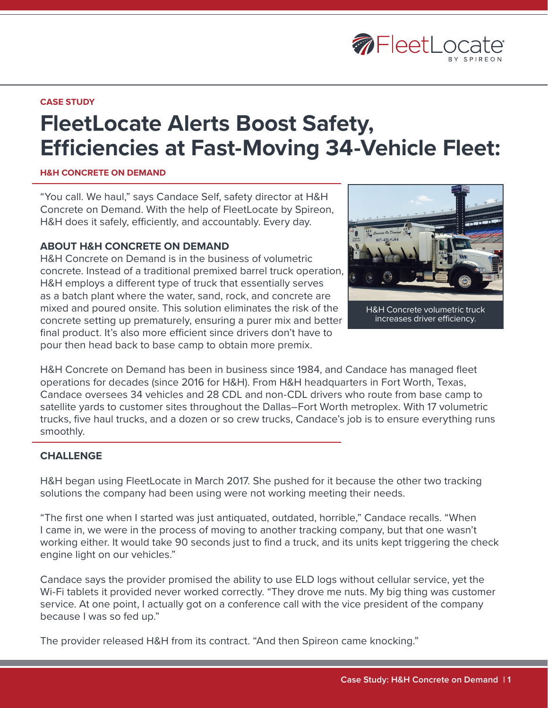

#### **CASE STUDY**

# **FleetLocate Alerts Boost Safety, Efficiencies at Fast-Moving 34-Vehicle Fleet:**

#### **H&H CONCRETE ON DEMAND**

"You call. We haul," says Candace Self, safety director at H&H Concrete on Demand. With the help of FleetLocate by Spireon, H&H does it safely, efficiently, and accountably. Every day.

#### **ABOUT H&H CONCRETE ON DEMAND**

H&H Concrete on Demand is in the business of volumetric concrete. Instead of a traditional premixed barrel truck operation, H&H employs a different type of truck that essentially serves as a batch plant where the water, sand, rock, and concrete are mixed and poured onsite. This solution eliminates the risk of the concrete setting up prematurely, ensuring a purer mix and better final product. It's also more efficient since drivers don't have to pour then head back to base camp to obtain more premix.



increases driver efficiency.

H&H Concrete on Demand has been in business since 1984, and Candace has managed fleet operations for decades (since 2016 for H&H). From H&H headquarters in Fort Worth, Texas, Candace oversees 34 vehicles and 28 CDL and non-CDL drivers who route from base camp to satellite yards to customer sites throughout the Dallas–Fort Worth metroplex. With 17 volumetric trucks, five haul trucks, and a dozen or so crew trucks, Candace's job is to ensure everything runs smoothly.

#### **CHALLENGE**

H&H began using FleetLocate in March 2017. She pushed for it because the other two tracking solutions the company had been using were not working meeting their needs.

"The first one when I started was just antiquated, outdated, horrible," Candace recalls. "When I came in, we were in the process of moving to another tracking company, but that one wasn't working either. It would take 90 seconds just to find a truck, and its units kept triggering the check engine light on our vehicles."

Candace says the provider promised the ability to use ELD logs without cellular service, yet the Wi-Fi tablets it provided never worked correctly. "They drove me nuts. My big thing was customer service. At one point, I actually got on a conference call with the vice president of the company because I was so fed up."

The provider released H&H from its contract. "And then Spireon came knocking."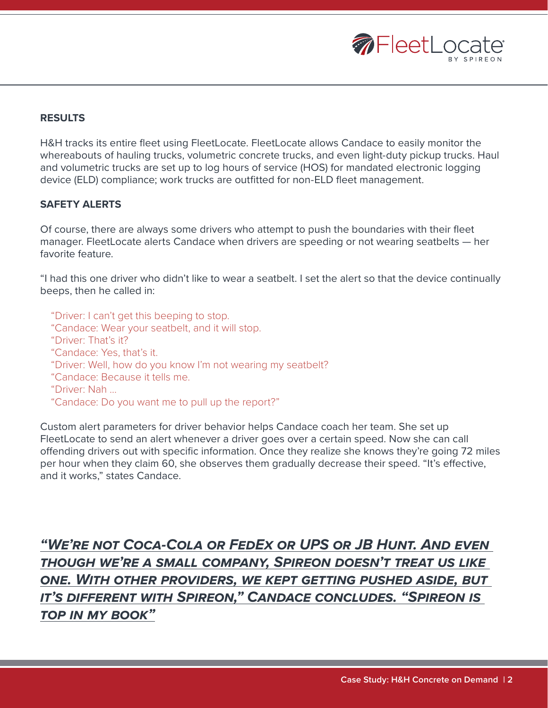

# **RESULTS**

H&H tracks its entire fleet using FleetLocate. FleetLocate allows Candace to easily monitor the whereabouts of hauling trucks, volumetric concrete trucks, and even light-duty pickup trucks. Haul and volumetric trucks are set up to log hours of service (HOS) for mandated electronic logging device (ELD) compliance; work trucks are outfitted for non-ELD fleet management.

# **SAFETY ALERTS**

Of course, there are always some drivers who attempt to push the boundaries with their fleet manager. FleetLocate alerts Candace when drivers are speeding or not wearing seatbelts — her favorite feature.

"I had this one driver who didn't like to wear a seatbelt. I set the alert so that the device continually beeps, then he called in:

"Driver: I can't get this beeping to stop. "Candace: Wear your seatbelt, and it will stop. "Driver: That's it? "Candace: Yes, that's it. "Driver: Well, how do you know I'm not wearing my seatbelt? "Candace: Because it tells me. "Driver: Nah … "Candace: Do you want me to pull up the report?"

Custom alert parameters for driver behavior helps Candace coach her team. She set up FleetLocate to send an alert whenever a driver goes over a certain speed. Now she can call offending drivers out with specific information. Once they realize she knows they're going 72 miles per hour when they claim 60, she observes them gradually decrease their speed. "It's effective, and it works," states Candace.

*"We're not Coca-Cola or FedEx or UPS or JB Hunt. And even though we're a small company, Spireon doesn't treat us like one. With other providers, we kept getting pushed aside, but it's different with Spireon," Candace concludes. "Spireon is top in my book"*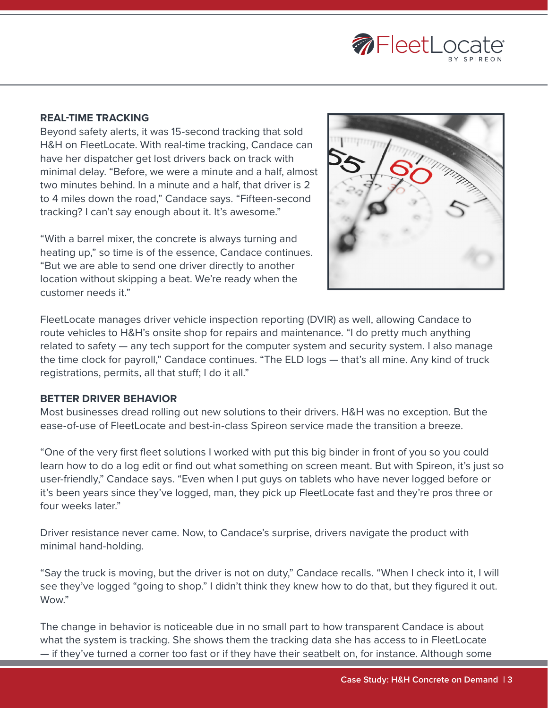

# **REAL-TIME TRACKING**

Beyond safety alerts, it was 15-second tracking that sold H&H on FleetLocate. With real-time tracking, Candace can have her dispatcher get lost drivers back on track with minimal delay. "Before, we were a minute and a half, almost two minutes behind. In a minute and a half, that driver is 2 to 4 miles down the road," Candace says. "Fifteen-second tracking? I can't say enough about it. It's awesome."

"With a barrel mixer, the concrete is always turning and heating up," so time is of the essence, Candace continues. "But we are able to send one driver directly to another location without skipping a beat. We're ready when the customer needs it."



FleetLocate manages driver vehicle inspection reporting (DVIR) as well, allowing Candace to route vehicles to H&H's onsite shop for repairs and maintenance. "I do pretty much anything related to safety — any tech support for the computer system and security system. I also manage the time clock for payroll," Candace continues. "The ELD logs — that's all mine. Any kind of truck registrations, permits, all that stuff; I do it all."

#### **BETTER DRIVER BEHAVIOR**

Most businesses dread rolling out new solutions to their drivers. H&H was no exception. But the ease-of-use of FleetLocate and best-in-class Spireon service made the transition a breeze.

"One of the very first fleet solutions I worked with put this big binder in front of you so you could learn how to do a log edit or find out what something on screen meant. But with Spireon, it's just so user-friendly," Candace says. "Even when I put guys on tablets who have never logged before or it's been years since they've logged, man, they pick up FleetLocate fast and they're pros three or four weeks later"

Driver resistance never came. Now, to Candace's surprise, drivers navigate the product with minimal hand-holding.

"Say the truck is moving, but the driver is not on duty," Candace recalls. "When I check into it, I will see they've logged "going to shop." I didn't think they knew how to do that, but they figured it out. Wow."

The change in behavior is noticeable due in no small part to how transparent Candace is about what the system is tracking. She shows them the tracking data she has access to in FleetLocate — if they've turned a corner too fast or if they have their seatbelt on, for instance. Although some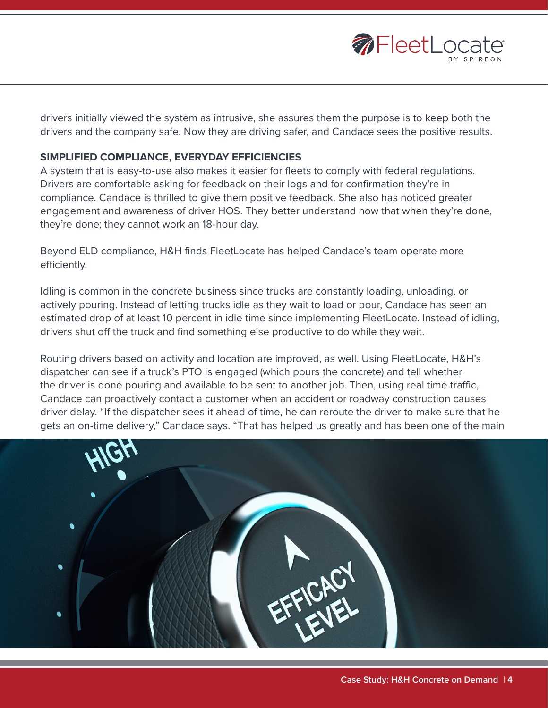

drivers initially viewed the system as intrusive, she assures them the purpose is to keep both the drivers and the company safe. Now they are driving safer, and Candace sees the positive results.

### **SIMPLIFIED COMPLIANCE, EVERYDAY EFFICIENCIES**

A system that is easy-to-use also makes it easier for fleets to comply with federal regulations. Drivers are comfortable asking for feedback on their logs and for confirmation they're in compliance. Candace is thrilled to give them positive feedback. She also has noticed greater engagement and awareness of driver HOS. They better understand now that when they're done, they're done; they cannot work an 18-hour day.

Beyond ELD compliance, H&H finds FleetLocate has helped Candace's team operate more efficiently.

Idling is common in the concrete business since trucks are constantly loading, unloading, or actively pouring. Instead of letting trucks idle as they wait to load or pour, Candace has seen an estimated drop of at least 10 percent in idle time since implementing FleetLocate. Instead of idling, drivers shut off the truck and find something else productive to do while they wait.

Routing drivers based on activity and location are improved, as well. Using FleetLocate, H&H's dispatcher can see if a truck's PTO is engaged (which pours the concrete) and tell whether the driver is done pouring and available to be sent to another job. Then, using real time traffic, Candace can proactively contact a customer when an accident or roadway construction causes driver delay. "If the dispatcher sees it ahead of time, he can reroute the driver to make sure that he gets an on-time delivery," Candace says. "That has helped us greatly and has been one of the main